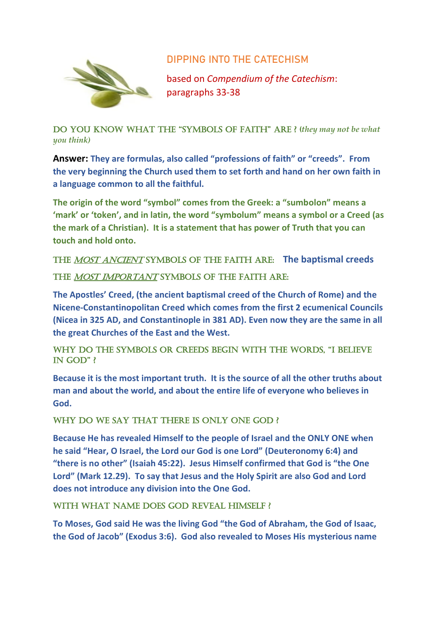



based on *Compendium of the Catechism*: paragraphs 33-38

Do you know what the "symbols of faith" are ? (*they may not be what you think)*

**Answer: They are formulas, also called "professions of faith" or "creeds". From the very beginning the Church used them to set forth and hand on her own faith in a language common to all the faithful.**

**The origin of the word "symbol" comes from the Greek: a "sumbolon" means a 'mark' or 'token', and in latin, the word "symbolum" means a symbol or a Creed (as the mark of a Christian). It is a statement that has power of Truth that you can touch and hold onto.**

The most ancient symbols of the faith are: **The baptismal creeds** THE MOST IMPORTANT SYMBOLS OF THE FAITH ARE:

**The Apostles' Creed, (the ancient baptismal creed of the Church of Rome) and the Nicene-Constantinopolitan Creed which comes from the first 2 ecumenical Councils (Nicea in 325 AD, and Constantinople in 381 AD). Even now they are the same in all the great Churches of the East and the West.**

WHY DO THE SYMBOLS OR CREEDS BEGIN WITH THE WORDS, "I BELIEVE IN GOD"  $\ell$ 

**Because it is the most important truth. It is the source of all the other truths about man and about the world, and about the entire life of everyone who believes in God.**

## WHY DO WE SAY THAT THERE IS ONLY ONE GOD ?

**Because He has revealed Himself to the people of Israel and the ONLY ONE when he said "Hear, O Israel, the Lord our God is one Lord" (Deuteronomy 6:4) and "there is no other" (Isaiah 45:22). Jesus Himself confirmed that God is "the One Lord" (Mark 12.29). To say that Jesus and the Holy Spirit are also God and Lord does not introduce any division into the One God.**

WITH WHAT NAME DOES GOD REVEAL HIMSELF?

**To Moses, God said He was the living God "the God of Abraham, the God of Isaac, the God of Jacob" (Exodus 3:6). God also revealed to Moses His mysterious name**